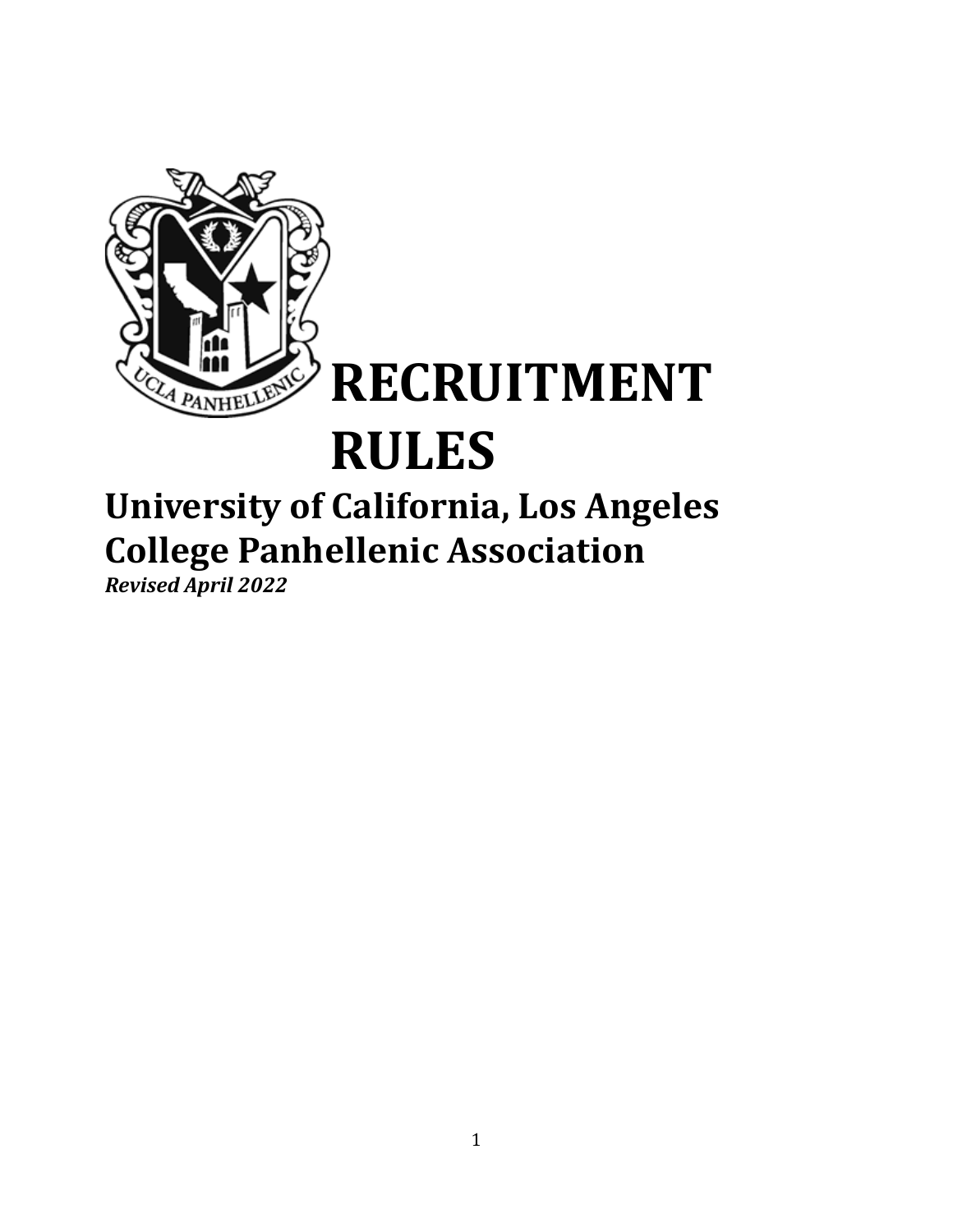

# **University of California, Los Angeles College Panhellenic Association**

*Revised April 2022*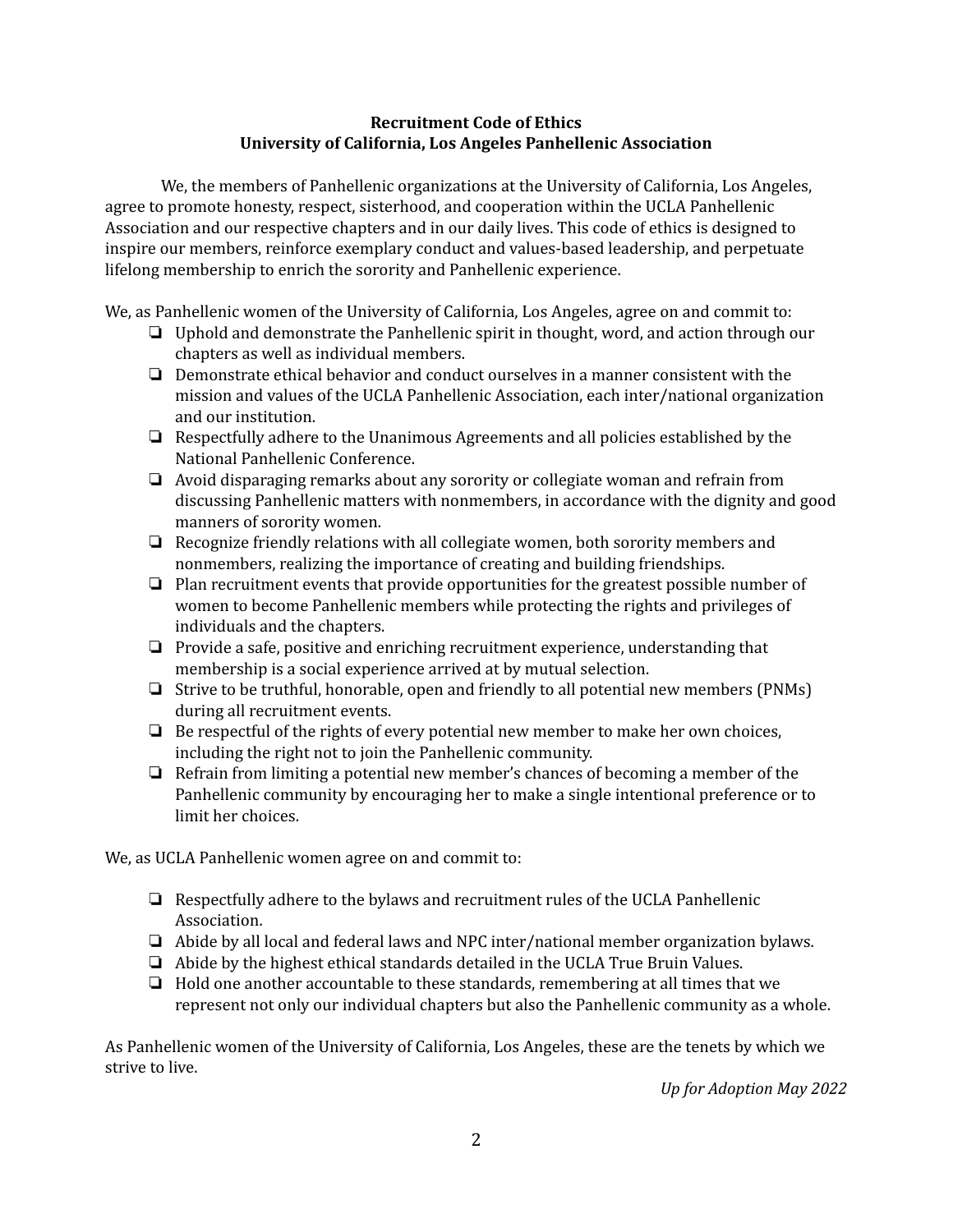#### **Recruitment Code of Ethics University of California, Los Angeles Panhellenic Association**

We, the members of Panhellenic organizations at the University of California, Los Angeles, agree to promote honesty, respect, sisterhood, and cooperation within the UCLA Panhellenic Association and our respective chapters and in our daily lives. This code of ethics is designed to inspire our members, reinforce exemplary conduct and values-based leadership, and perpetuate lifelong membership to enrich the sorority and Panhellenic experience.

We, as Panhellenic women of the University of California, Los Angeles, agree on and commit to:

- ❏ Uphold and demonstrate the Panhellenic spirit in thought, word, and action through our chapters as well as individual members.
- ❏ Demonstrate ethical behavior and conduct ourselves in a manner consistent with the mission and values of the UCLA Panhellenic Association, each inter/national organization and our institution.
- ❏ Respectfully adhere to the Unanimous Agreements and all policies established by the National Panhellenic Conference.
- ❏ Avoid disparaging remarks about any sorority or collegiate woman and refrain from discussing Panhellenic matters with nonmembers, in accordance with the dignity and good manners of sorority women.
- ❏ Recognize friendly relations with all collegiate women, both sorority members and nonmembers, realizing the importance of creating and building friendships.
- ❏ Plan recruitment events that provide opportunities for the greatest possible number of women to become Panhellenic members while protecting the rights and privileges of individuals and the chapters.
- ❏ Provide a safe, positive and enriching recruitment experience, understanding that membership is a social experience arrived at by mutual selection.
- ❏ Strive to be truthful, honorable, open and friendly to all potential new members (PNMs) during all recruitment events.
- $\Box$  Be respectful of the rights of every potential new member to make her own choices, including the right not to join the Panhellenic community.
- ❏ Refrain from limiting a potential new member's chances of becoming a member of the Panhellenic community by encouraging her to make a single intentional preference or to limit her choices.

We, as UCLA Panhellenic women agree on and commit to:

- ❏ Respectfully adhere to the bylaws and recruitment rules of the UCLA Panhellenic Association.
- ❏ Abide by all local and federal laws and NPC inter/national member organization bylaws.
- ❏ Abide by the highest ethical standards detailed in the UCLA True Bruin Values.
- ❏ Hold one another accountable to these standards, remembering at all times that we represent not only our individual chapters but also the Panhellenic community as a whole.

As Panhellenic women of the University of California, Los Angeles, these are the tenets by which we strive to live.

*Up for Adoption May 2022*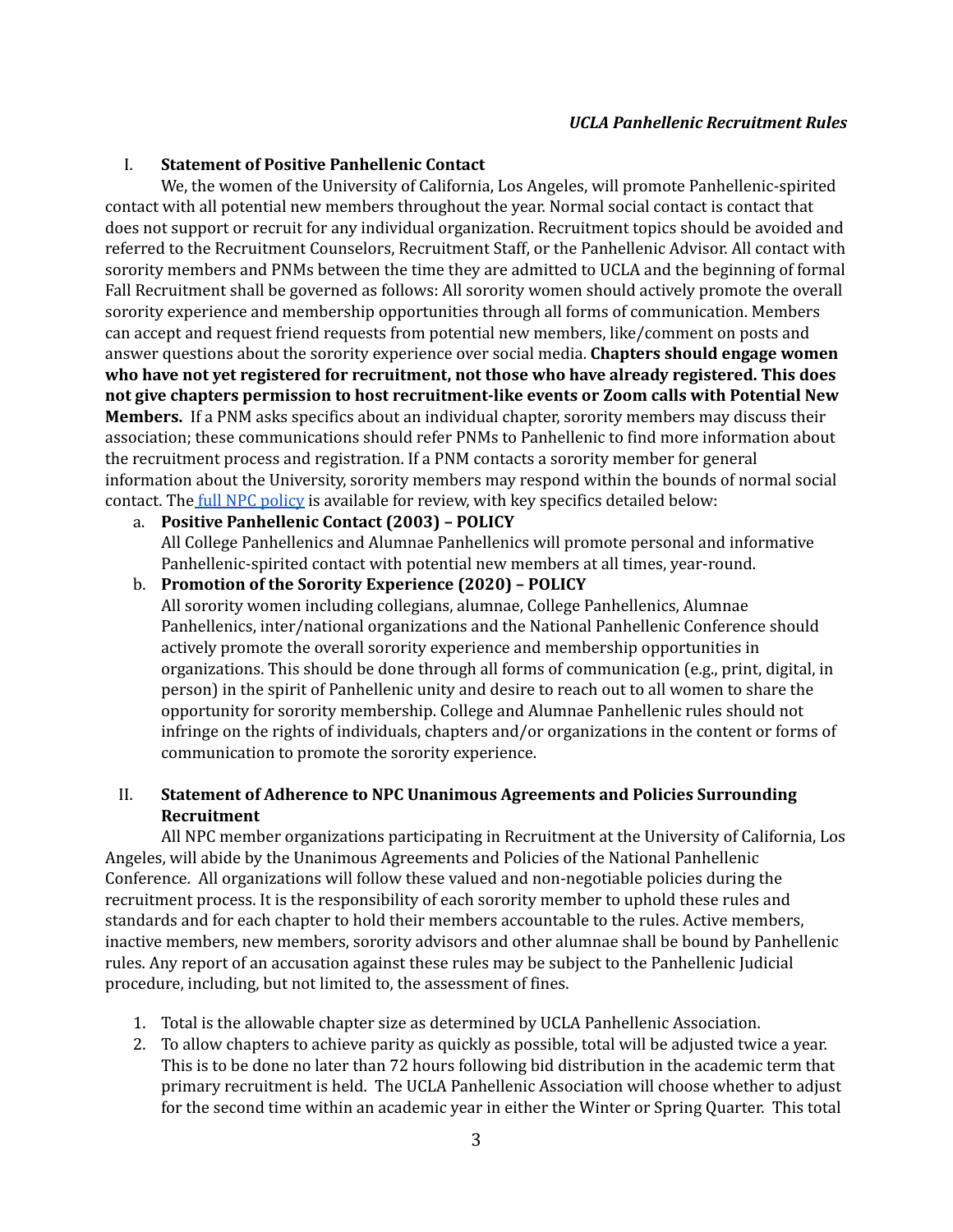#### *UCLA Panhellenic Recruitment Rules*

#### I. **Statement of Positive Panhellenic Contact**

We, the women of the University of California, Los Angeles, will promote Panhellenic-spirited contact with all potential new members throughout the year. Normal social contact is contact that does not support or recruit for any individual organization. Recruitment topics should be avoided and referred to the Recruitment Counselors, Recruitment Staff, or the Panhellenic Advisor. All contact with sorority members and PNMs between the time they are admitted to UCLA and the beginning of formal Fall Recruitment shall be governed as follows: All sorority women should actively promote the overall sorority experience and membership opportunities through all forms of communication. Members can accept and request friend requests from potential new members, like/comment on posts and answer questions about the sorority experience over social media. **Chapters should engage women who have not yet registered for recruitment, not those who have already registered. This does not give chapters permission to host recruitment-like events or Zoom calls with Potential New Members.** If a PNM asks specifics about an individual chapter, sorority members may discuss their association; these communications should refer PNMs to Panhellenic to find more information about the recruitment process and registration. If a PNM contacts a sorority member for general information about the University, sorority members may respond within the bounds of normal social contact. The full NPC [policy](https://www.npcwomen.org/wp-content/uploads/sites/2037/2020/06/Resolved-to-Educate-Positive-Panhellenic-Contact-and-Promoting-the-Sorority-Experience-FINAL.pdf) is available for review, with key specifics detailed below:

- a. **Positive Panhellenic Contact (2003) – POLICY** All College Panhellenics and Alumnae Panhellenics will promote personal and informative Panhellenic-spirited contact with potential new members at all times, year-round.
- b. **Promotion of the Sorority Experience (2020) – POLICY** All sorority women including collegians, alumnae, College Panhellenics, Alumnae Panhellenics, inter/national organizations and the National Panhellenic Conference should actively promote the overall sorority experience and membership opportunities in organizations. This should be done through all forms of communication (e.g., print, digital, in person) in the spirit of Panhellenic unity and desire to reach out to all women to share the opportunity for sorority membership. College and Alumnae Panhellenic rules should not infringe on the rights of individuals, chapters and/or organizations in the content or forms of communication to promote the sorority experience.
- II. **Statement of Adherence to NPC Unanimous Agreements and Policies Surrounding Recruitment**

All NPC member organizations participating in Recruitment at the University of California, Los Angeles, will abide by the Unanimous Agreements and Policies of the National Panhellenic Conference. All organizations will follow these valued and non-negotiable policies during the recruitment process. It is the responsibility of each sorority member to uphold these rules and standards and for each chapter to hold their members accountable to the rules. Active members, inactive members, new members, sorority advisors and other alumnae shall be bound by Panhellenic rules. Any report of an accusation against these rules may be subject to the Panhellenic Judicial procedure, including, but not limited to, the assessment of fines.

- 1. Total is the allowable chapter size as determined by UCLA Panhellenic Association.
- 2. To allow chapters to achieve parity as quickly as possible, total will be adjusted twice a year. This is to be done no later than 72 hours following bid distribution in the academic term that primary recruitment is held. The UCLA Panhellenic Association will choose whether to adjust for the second time within an academic year in either the Winter or Spring Quarter. This total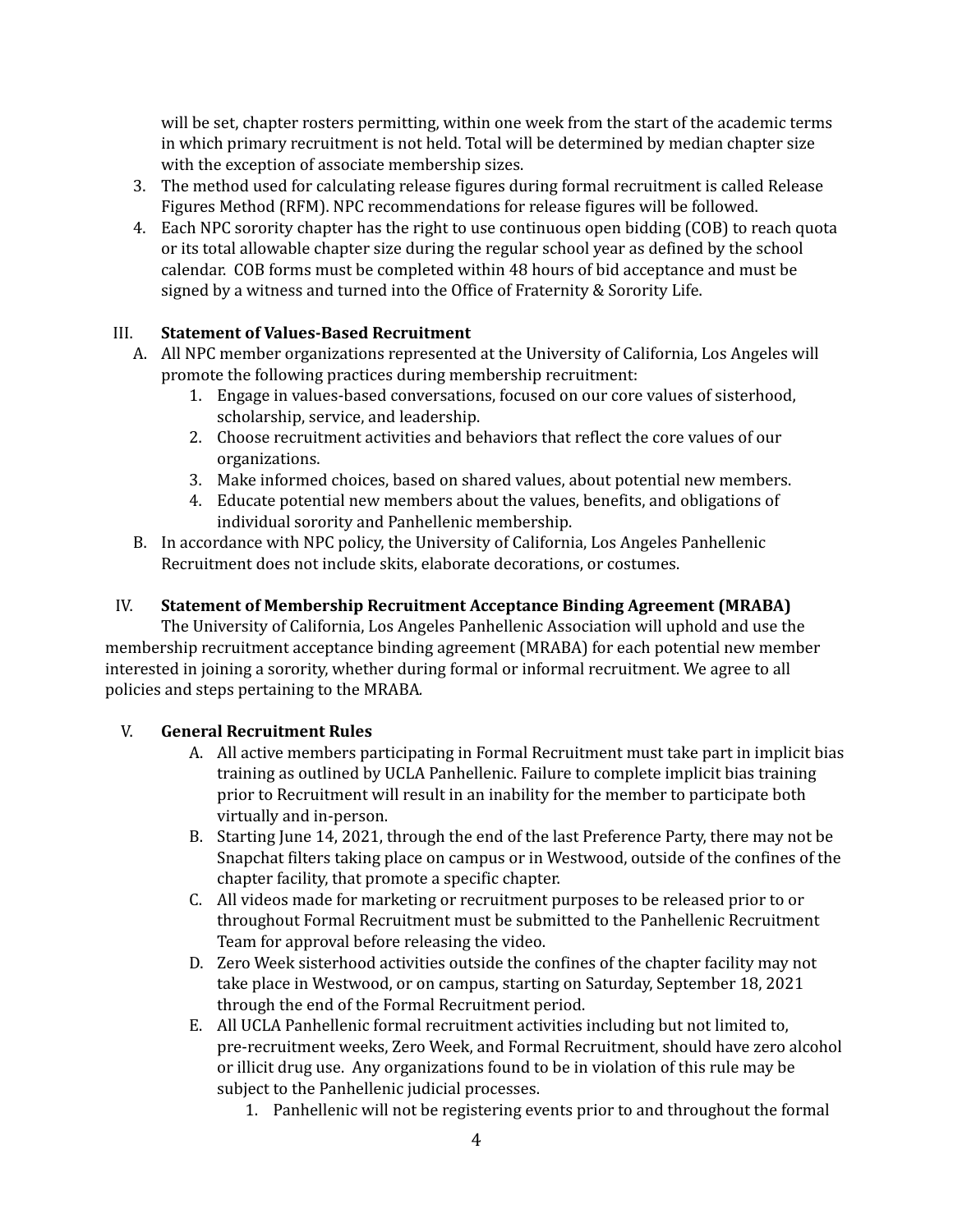will be set, chapter rosters permitting, within one week from the start of the academic terms in which primary recruitment is not held. Total will be determined by median chapter size with the exception of associate membership sizes.

- 3. The method used for calculating release figures during formal recruitment is called Release Figures Method (RFM). NPC recommendations for release figures will be followed.
- 4. Each NPC sorority chapter has the right to use continuous open bidding (COB) to reach quota or its total allowable chapter size during the regular school year as defined by the school calendar. COB forms must be completed within 48 hours of bid acceptance and must be signed by a witness and turned into the Office of Fraternity & Sorority Life.

## III. **Statement of Values-Based Recruitment**

- A. All NPC member organizations represented at the University of California, Los Angeles will promote the following practices during membership recruitment:
	- 1. Engage in values-based conversations, focused on our core values of sisterhood, scholarship, service, and leadership.
	- 2. Choose recruitment activities and behaviors that reflect the core values of our organizations.
	- 3. Make informed choices, based on shared values, about potential new members.
	- 4. Educate potential new members about the values, benefits, and obligations of individual sorority and Panhellenic membership.
- B. In accordance with NPC policy, the University of California, Los Angeles Panhellenic Recruitment does not include skits, elaborate decorations, or costumes.

## IV. **Statement of Membership Recruitment Acceptance Binding Agreement (MRABA)**

The University of California, Los Angeles Panhellenic Association will uphold and use the membership recruitment acceptance binding agreement (MRABA) for each potential new member interested in joining a sorority, whether during formal or informal recruitment. We agree to all policies and steps pertaining to the MRABA*.*

## V. **General Recruitment Rules**

- A. All active members participating in Formal Recruitment must take part in implicit bias training as outlined by UCLA Panhellenic. Failure to complete implicit bias training prior to Recruitment will result in an inability for the member to participate both virtually and in-person.
- B. Starting June 14, 2021, through the end of the last Preference Party, there may not be Snapchat filters taking place on campus or in Westwood, outside of the confines of the chapter facility, that promote a specific chapter.
- C. All videos made for marketing or recruitment purposes to be released prior to or throughout Formal Recruitment must be submitted to the Panhellenic Recruitment Team for approval before releasing the video.
- D. Zero Week sisterhood activities outside the confines of the chapter facility may not take place in Westwood, or on campus, starting on Saturday, September 18, 2021 through the end of the Formal Recruitment period.
- E. All UCLA Panhellenic formal recruitment activities including but not limited to, pre-recruitment weeks, Zero Week, and Formal Recruitment, should have zero alcohol or illicit drug use. Any organizations found to be in violation of this rule may be subject to the Panhellenic judicial processes.
	- 1. Panhellenic will not be registering events prior to and throughout the formal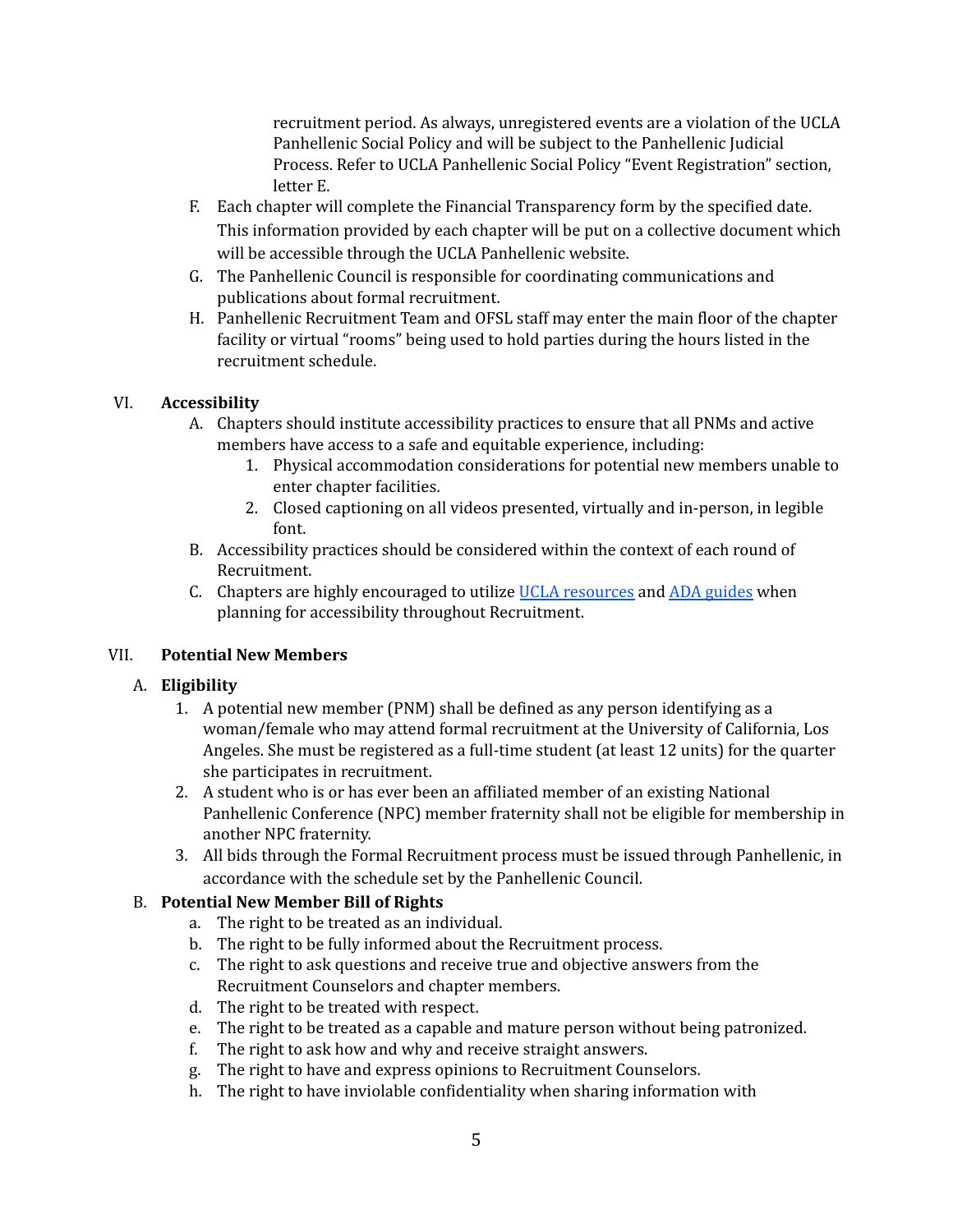recruitment period. As always, unregistered events are a violation of the UCLA Panhellenic Social Policy and will be subject to the Panhellenic Judicial Process. Refer to UCLA Panhellenic Social Policy "Event Registration" section, letter E.

- F. Each chapter will complete the Financial Transparency form by the specified date. This information provided by each chapter will be put on a collective document which will be accessible through the UCLA Panhellenic website.
- G. The Panhellenic Council is responsible for coordinating communications and publications about formal recruitment.
- H. Panhellenic Recruitment Team and OFSL staff may enter the main floor of the chapter facility or virtual "rooms" being used to hold parties during the hours listed in the recruitment schedule.

## VI. **Accessibility**

- A. Chapters should institute accessibility practices to ensure that all PNMs and active members have access to a safe and equitable experience, including:
	- 1. Physical accommodation considerations for potential new members unable to enter chapter facilities.
	- 2. Closed captioning on all videos presented, virtually and in-person, in legible font.
- B. Accessibility practices should be considered within the context of each round of Recruitment.
- C. Chapters are highly encouraged to utilize UCLA [resources](https://ada.ucla.edu/) and ADA [guides](https://www.access-board.gov/ada/guides/) when planning for accessibility throughout Recruitment.

## VII. **Potential New Members**

## A. **Eligibility**

- 1. A potential new member (PNM) shall be defined as any person identifying as a woman/female who may attend formal recruitment at the University of California, Los Angeles. She must be registered as a full-time student (at least 12 units) for the quarter she participates in recruitment.
- 2. A student who is or has ever been an affiliated member of an existing National Panhellenic Conference (NPC) member fraternity shall not be eligible for membership in another NPC fraternity.
- 3. All bids through the Formal Recruitment process must be issued through Panhellenic, in accordance with the schedule set by the Panhellenic Council.

#### B. **Potential New Member Bill of Rights**

- a. The right to be treated as an individual.
- b. The right to be fully informed about the Recruitment process.
- c. The right to ask questions and receive true and objective answers from the Recruitment Counselors and chapter members.
- d. The right to be treated with respect.
- e. The right to be treated as a capable and mature person without being patronized.
- f. The right to ask how and why and receive straight answers.
- g. The right to have and express opinions to Recruitment Counselors.
- h. The right to have inviolable confidentiality when sharing information with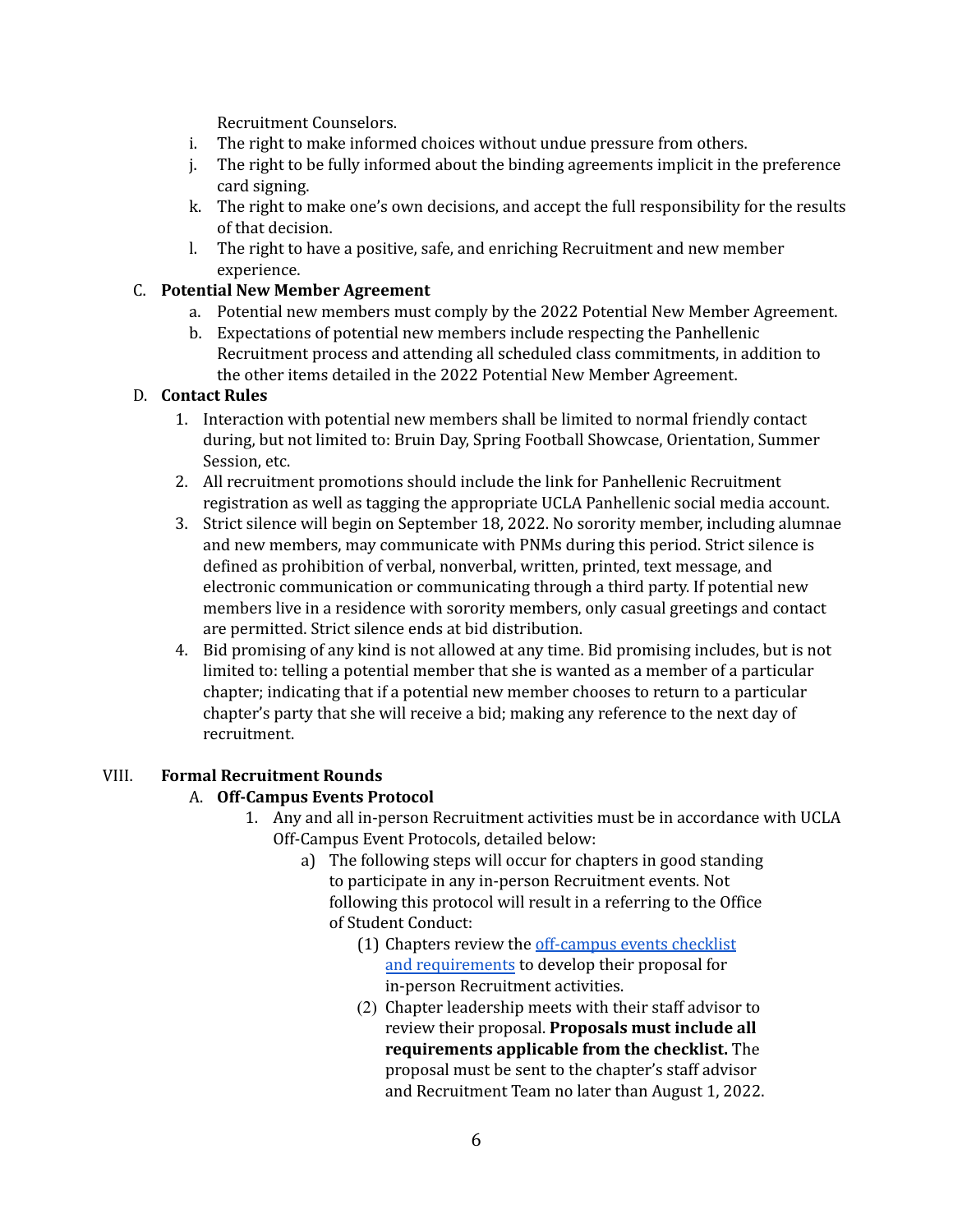Recruitment Counselors.

- i. The right to make informed choices without undue pressure from others.
- j. The right to be fully informed about the binding agreements implicit in the preference card signing.
- k. The right to make one's own decisions, and accept the full responsibility for the results of that decision.
- l. The right to have a positive, safe, and enriching Recruitment and new member experience.

## C. **Potential New Member Agreement**

- a. Potential new members must comply by the 2022 Potential New Member Agreement.
- b. Expectations of potential new members include respecting the Panhellenic Recruitment process and attending all scheduled class commitments, in addition to the other items detailed in the 2022 Potential New Member Agreement.

#### D. **Contact Rules**

- 1. Interaction with potential new members shall be limited to normal friendly contact during, but not limited to: Bruin Day, Spring Football Showcase, Orientation, Summer Session, etc.
- 2. All recruitment promotions should include the link for Panhellenic Recruitment registration as well as tagging the appropriate UCLA Panhellenic social media account.
- 3. Strict silence will begin on September 18, 2022. No sorority member, including alumnae and new members, may communicate with PNMs during this period. Strict silence is defined as prohibition of verbal, nonverbal, written, printed, text message, and electronic communication or communicating through a third party. If potential new members live in a residence with sorority members, only casual greetings and contact are permitted. Strict silence ends at bid distribution.
- 4. Bid promising of any kind is not allowed at any time. Bid promising includes, but is not limited to: telling a potential member that she is wanted as a member of a particular chapter; indicating that if a potential new member chooses to return to a particular chapter's party that she will receive a bid; making any reference to the next day of recruitment.

#### VIII. **Formal Recruitment Rounds**

#### A. **Off-Campus Events Protocol**

- 1. Any and all in-person Recruitment activities must be in accordance with UCLA Off-Campus Event Protocols, detailed below:
	- a) The following steps will occur for chapters in good standing to participate in any in-person Recruitment events. Not following this protocol will result in a referring to the Office of Student Conduct:
		- (1) Chapters review the [off-campus](https://docs.google.com/document/u/1/d/1gachFLc2Ej2oysZJZTgy65fUvctSiauEVWT3uVAuvto/edit) events checklist and [requirements](https://docs.google.com/document/u/1/d/1gachFLc2Ej2oysZJZTgy65fUvctSiauEVWT3uVAuvto/edit) to develop their proposal for in-person Recruitment activities.
		- (2) Chapter leadership meets with their staff advisor to review their proposal. **Proposals must include all requirements applicable from the checklist.** The proposal must be sent to the chapter's staff advisor and Recruitment Team no later than August 1, 2022.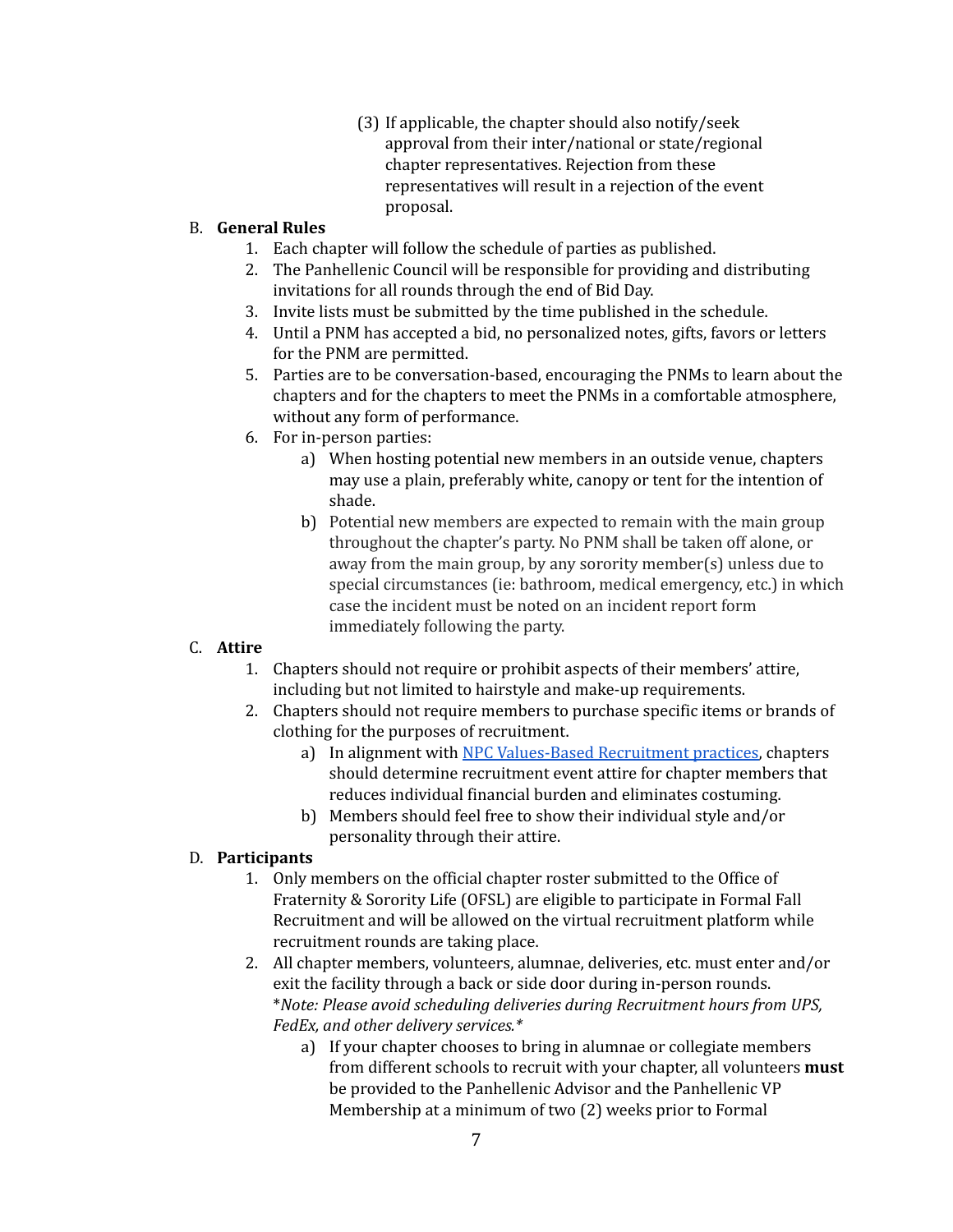(3) If applicable, the chapter should also notify/seek approval from their inter/national or state/regional chapter representatives. Rejection from these representatives will result in a rejection of the event proposal.

## B. **General Rules**

- 1. Each chapter will follow the schedule of parties as published.
- 2. The Panhellenic Council will be responsible for providing and distributing invitations for all rounds through the end of Bid Day.
- 3. Invite lists must be submitted by the time published in the schedule.
- 4. Until a PNM has accepted a bid, no personalized notes, gifts, favors or letters for the PNM are permitted.
- 5. Parties are to be conversation-based, encouraging the PNMs to learn about the chapters and for the chapters to meet the PNMs in a comfortable atmosphere, without any form of performance.
- 6. For in-person parties:
	- a) When hosting potential new members in an outside venue, chapters may use a plain, preferably white, canopy or tent for the intention of shade.
	- b) Potential new members are expected to remain with the main group throughout the chapter's party. No PNM shall be taken off alone, or away from the main group, by any sorority member(s) unless due to special circumstances (ie: bathroom, medical emergency, etc.) in which case the incident must be noted on an incident report form immediately following the party.

#### C. **Attire**

- 1. Chapters should not require or prohibit aspects of their members' attire, including but not limited to hairstyle and make-up requirements.
- 2. Chapters should not require members to purchase specific items or brands of clothing for the purposes of recruitment.
	- a) In alignment with NPC [Values-Based](https://www.npcwomen.org/wp-content/uploads/sites/2037/2017/10/Resolved-to-Educate-Values-Based-Recruitment.pdf) Recruitment practices, chapters should determine recruitment event attire for chapter members that reduces individual financial burden and eliminates costuming.
	- b) Members should feel free to show their individual style and/or personality through their attire.

#### D. **Participants**

- 1. Only members on the official chapter roster submitted to the Office of Fraternity & Sorority Life (OFSL) are eligible to participate in Formal Fall Recruitment and will be allowed on the virtual recruitment platform while recruitment rounds are taking place.
- 2. All chapter members, volunteers, alumnae, deliveries, etc. must enter and/or exit the facility through a back or side door during in-person rounds. \**Note: Please avoid scheduling deliveries during Recruitment hours from UPS, FedEx, and other delivery services.\**
	- a) If your chapter chooses to bring in alumnae or collegiate members from different schools to recruit with your chapter, all volunteers **must** be provided to the Panhellenic Advisor and the Panhellenic VP Membership at a minimum of two (2) weeks prior to Formal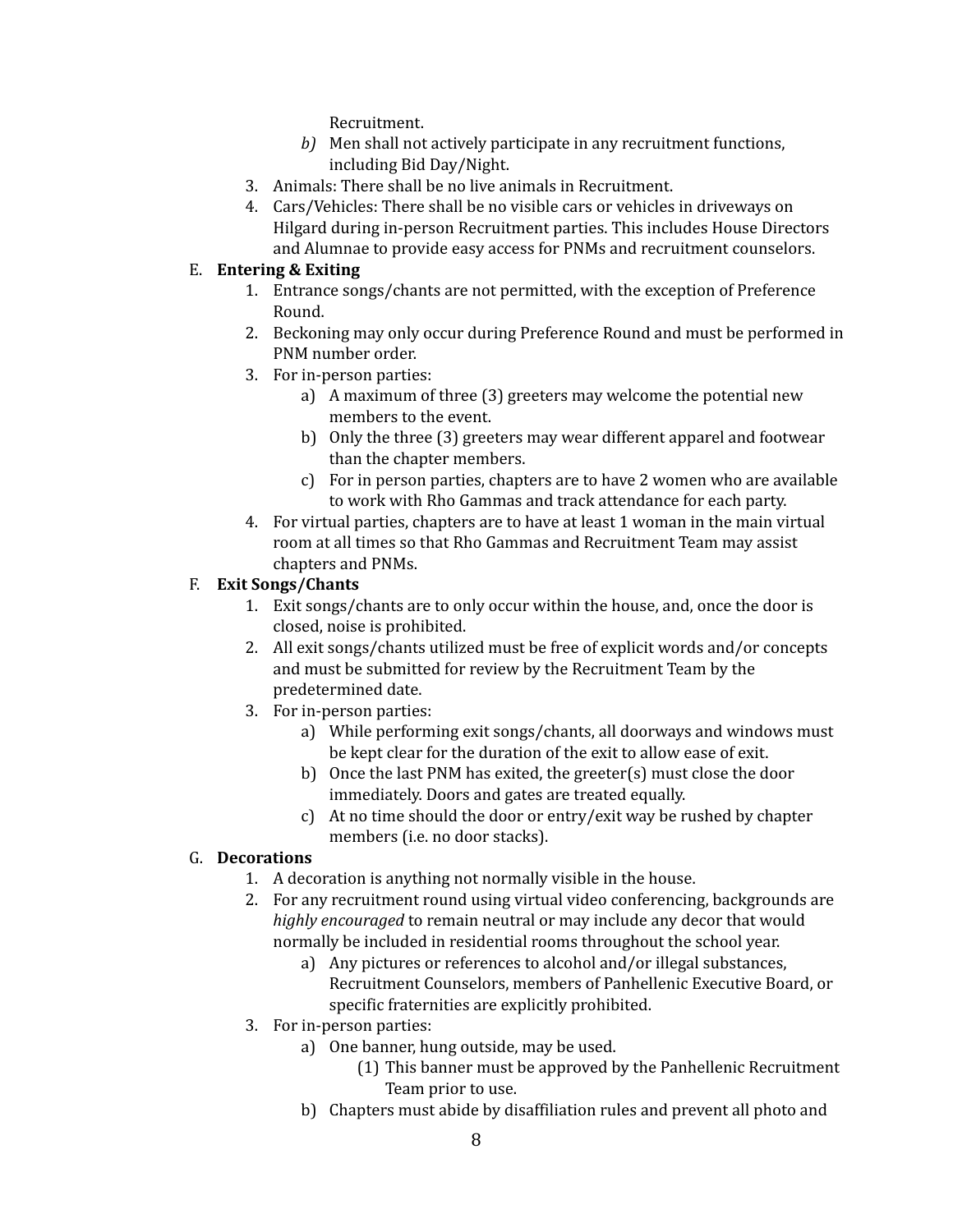Recruitment.

- *b)* Men shall not actively participate in any recruitment functions, including Bid Day/Night.
- 3. Animals: There shall be no live animals in Recruitment.
- 4. Cars/Vehicles: There shall be no visible cars or vehicles in driveways on Hilgard during in-person Recruitment parties. This includes House Directors and Alumnae to provide easy access for PNMs and recruitment counselors.

## E. **Entering & Exiting**

- 1. Entrance songs/chants are not permitted, with the exception of Preference Round.
- 2. Beckoning may only occur during Preference Round and must be performed in PNM number order.
- 3. For in-person parties:
	- a) A maximum of three (3) greeters may welcome the potential new members to the event.
	- b) Only the three (3) greeters may wear different apparel and footwear than the chapter members.
	- c) For in person parties, chapters are to have 2 women who are available to work with Rho Gammas and track attendance for each party.
- 4. For virtual parties, chapters are to have at least 1 woman in the main virtual room at all times so that Rho Gammas and Recruitment Team may assist chapters and PNMs.

## F. **Exit Songs/Chants**

- 1. Exit songs/chants are to only occur within the house, and, once the door is closed, noise is prohibited.
- 2. All exit songs/chants utilized must be free of explicit words and/or concepts and must be submitted for review by the Recruitment Team by the predetermined date.
- 3. For in-person parties:
	- a) While performing exit songs/chants, all doorways and windows must be kept clear for the duration of the exit to allow ease of exit.
	- b) Once the last PNM has exited, the greeter(s) must close the door immediately. Doors and gates are treated equally.
	- c) At no time should the door or entry/exit way be rushed by chapter members (i.e. no door stacks).

#### G. **Decorations**

- 1. A decoration is anything not normally visible in the house.
- 2. For any recruitment round using virtual video conferencing, backgrounds are *highly encouraged* to remain neutral or may include any decor that would normally be included in residential rooms throughout the school year.
	- a) Any pictures or references to alcohol and/or illegal substances, Recruitment Counselors, members of Panhellenic Executive Board, or specific fraternities are explicitly prohibited.
- 3. For in-person parties:
	- a) One banner, hung outside, may be used.
		- (1) This banner must be approved by the Panhellenic Recruitment Team prior to use.
	- b) Chapters must abide by disaffiliation rules and prevent all photo and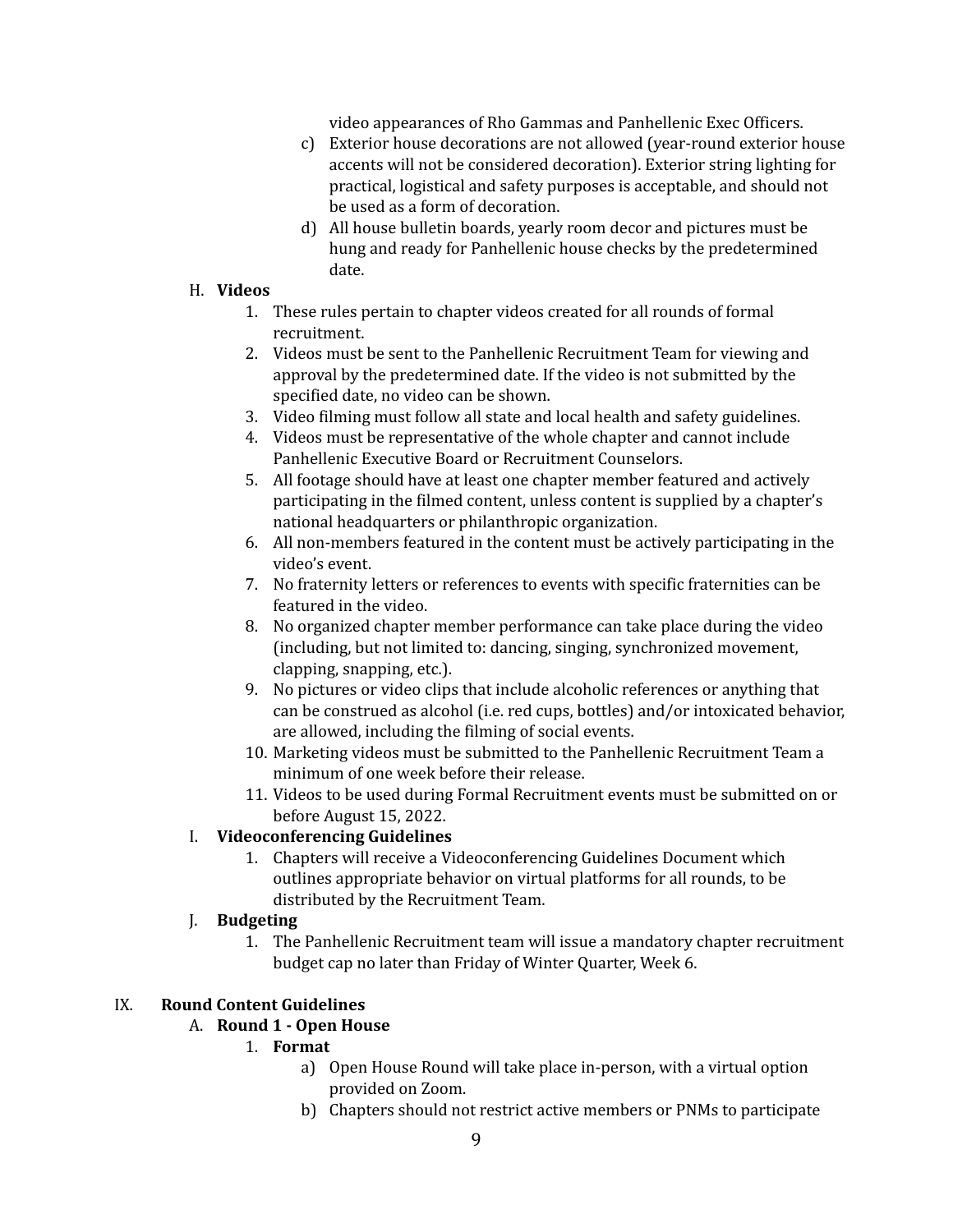video appearances of Rho Gammas and Panhellenic Exec Officers.

- c) Exterior house decorations are not allowed (year-round exterior house accents will not be considered decoration). Exterior string lighting for practical, logistical and safety purposes is acceptable, and should not be used as a form of decoration.
- d) All house bulletin boards, yearly room decor and pictures must be hung and ready for Panhellenic house checks by the predetermined date.

#### H. **Videos**

- 1. These rules pertain to chapter videos created for all rounds of formal recruitment.
- 2. Videos must be sent to the Panhellenic Recruitment Team for viewing and approval by the predetermined date. If the video is not submitted by the specified date, no video can be shown.
- 3. Video filming must follow all state and local health and safety guidelines.
- 4. Videos must be representative of the whole chapter and cannot include Panhellenic Executive Board or Recruitment Counselors.
- 5. All footage should have at least one chapter member featured and actively participating in the filmed content, unless content is supplied by a chapter's national headquarters or philanthropic organization.
- 6. All non-members featured in the content must be actively participating in the video's event.
- 7. No fraternity letters or references to events with specific fraternities can be featured in the video.
- 8. No organized chapter member performance can take place during the video (including, but not limited to: dancing, singing, synchronized movement, clapping, snapping, etc.).
- 9. No pictures or video clips that include alcoholic references or anything that can be construed as alcohol (i.e. red cups, bottles) and/or intoxicated behavior, are allowed, including the filming of social events.
- 10. Marketing videos must be submitted to the Panhellenic Recruitment Team a minimum of one week before their release.
- 11. Videos to be used during Formal Recruitment events must be submitted on or before August 15, 2022.

#### I. **Videoconferencing Guidelines**

1. Chapters will receive a Videoconferencing Guidelines Document which outlines appropriate behavior on virtual platforms for all rounds, to be distributed by the Recruitment Team.

#### J. **Budgeting**

1. The Panhellenic Recruitment team will issue a mandatory chapter recruitment budget cap no later than Friday of Winter Quarter, Week 6.

#### IX. **Round Content Guidelines**

## A. **Round 1 - Open House**

#### 1. **Format**

- a) Open House Round will take place in-person, with a virtual option provided on Zoom.
- b) Chapters should not restrict active members or PNMs to participate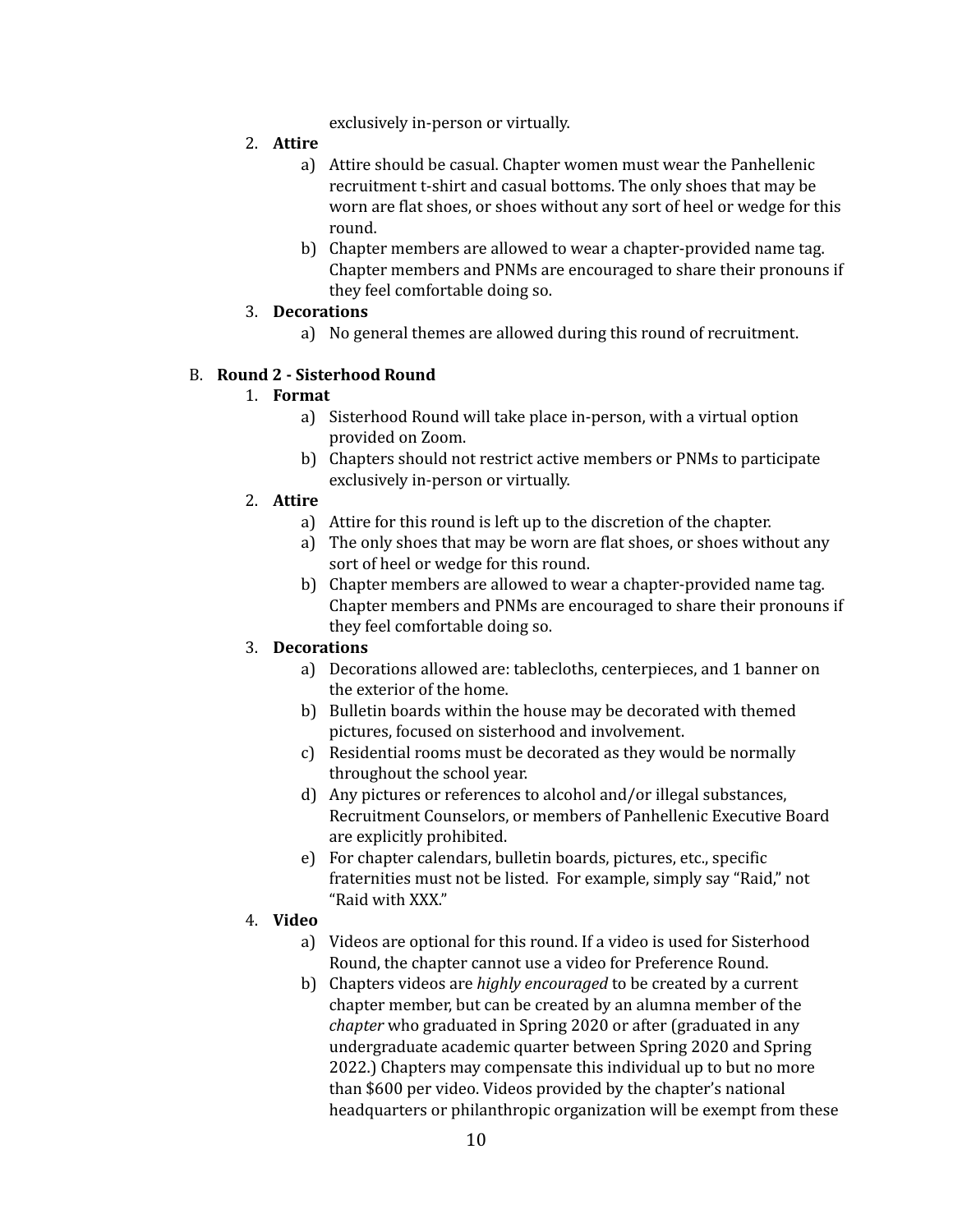exclusively in-person or virtually.

- 2. **Attire**
	- a) Attire should be casual. Chapter women must wear the Panhellenic recruitment t-shirt and casual bottoms. The only shoes that may be worn are flat shoes, or shoes without any sort of heel or wedge for this round.
	- b) Chapter members are allowed to wear a chapter-provided name tag. Chapter members and PNMs are encouraged to share their pronouns if they feel comfortable doing so.

#### 3. **Decorations**

a) No general themes are allowed during this round of recruitment.

#### B. **Round 2 - Sisterhood Round**

#### 1. **Format**

- a) Sisterhood Round will take place in-person, with a virtual option provided on Zoom.
- b) Chapters should not restrict active members or PNMs to participate exclusively in-person or virtually.

#### 2. **Attire**

- a) Attire for this round is left up to the discretion of the chapter.
- a) The only shoes that may be worn are flat shoes, or shoes without any sort of heel or wedge for this round.
- b) Chapter members are allowed to wear a chapter-provided name tag. Chapter members and PNMs are encouraged to share their pronouns if they feel comfortable doing so.

#### 3. **Decorations**

- a) Decorations allowed are: tablecloths, centerpieces, and 1 banner on the exterior of the home.
- b) Bulletin boards within the house may be decorated with themed pictures, focused on sisterhood and involvement.
- c) Residential rooms must be decorated as they would be normally throughout the school year.
- d) Any pictures or references to alcohol and/or illegal substances, Recruitment Counselors, or members of Panhellenic Executive Board are explicitly prohibited.
- e) For chapter calendars, bulletin boards, pictures, etc., specific fraternities must not be listed. For example, simply say "Raid," not "Raid with XXX."

#### 4. **Video**

- a) Videos are optional for this round. If a video is used for Sisterhood Round, the chapter cannot use a video for Preference Round.
- b) Chapters videos are *highly encouraged* to be created by a current chapter member, but can be created by an alumna member of the *chapter* who graduated in Spring 2020 or after (graduated in any undergraduate academic quarter between Spring 2020 and Spring 2022.) Chapters may compensate this individual up to but no more than \$600 per video. Videos provided by the chapter's national headquarters or philanthropic organization will be exempt from these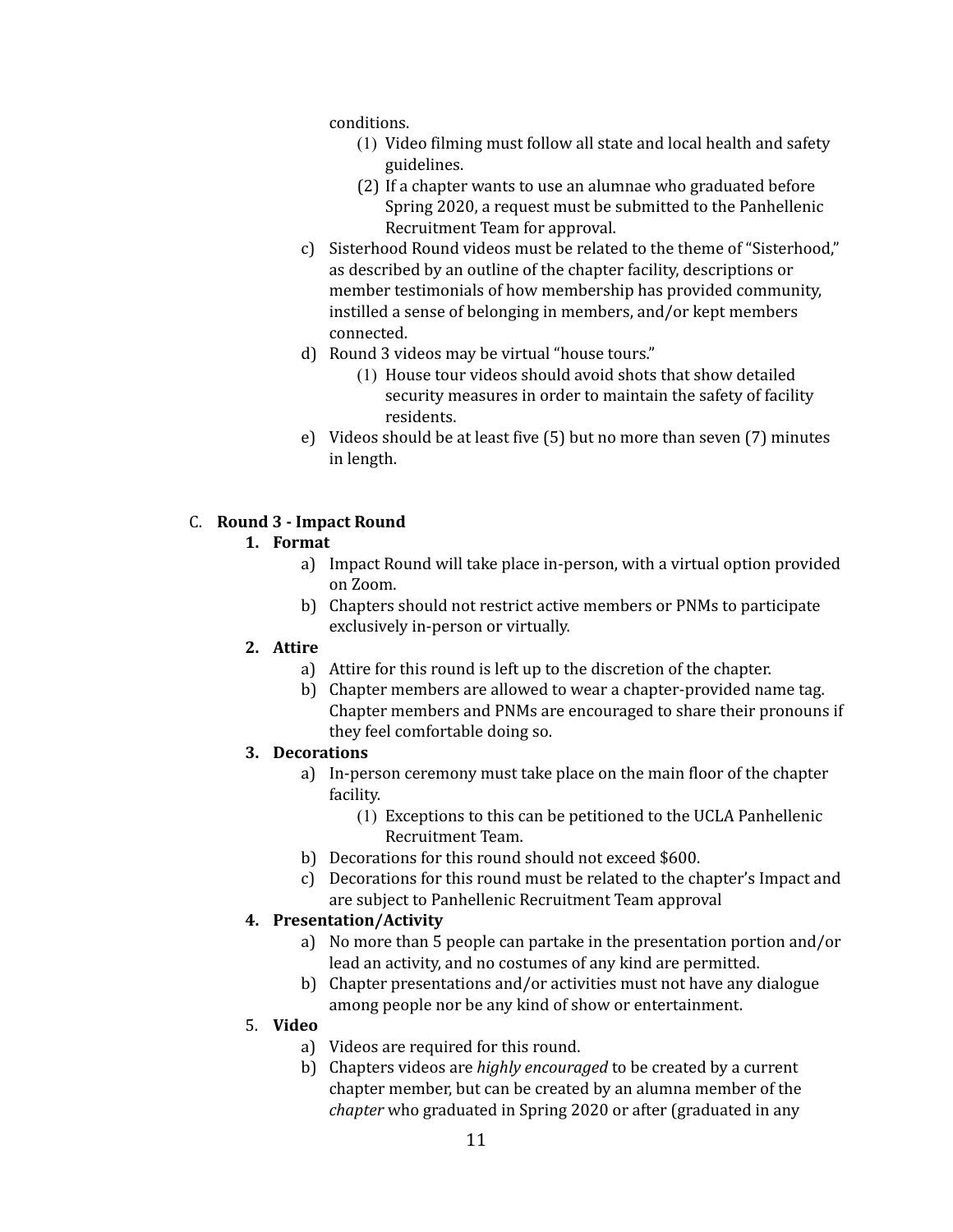conditions.

- (1) Video filming must follow all state and local health and safety guidelines.
- (2) If a chapter wants to use an alumnae who graduated before Spring 2020, a request must be submitted to the Panhellenic Recruitment Team for approval.
- c) Sisterhood Round videos must be related to the theme of "Sisterhood," as described by an outline of the chapter facility, descriptions or member testimonials of how membership has provided community, instilled a sense of belonging in members, and/or kept members connected.
- d) Round 3 videos may be virtual "house tours."
	- (1) House tour videos should avoid shots that show detailed security measures in order to maintain the safety of facility residents.
- e) Videos should be at least five (5) but no more than seven (7) minutes in length.

## C. **Round 3 - Impact Round**

#### **1. Format**

- a) Impact Round will take place in-person, with a virtual option provided on Zoom.
- b) Chapters should not restrict active members or PNMs to participate exclusively in-person or virtually.

#### **2. Attire**

- a) Attire for this round is left up to the discretion of the chapter.
- b) Chapter members are allowed to wear a chapter-provided name tag. Chapter members and PNMs are encouraged to share their pronouns if they feel comfortable doing so.

#### **3. Decorations**

- a) In-person ceremony must take place on the main floor of the chapter facility.
	- (1) Exceptions to this can be petitioned to the UCLA Panhellenic Recruitment Team.
- b) Decorations for this round should not exceed \$600.
- c) Decorations for this round must be related to the chapter's Impact and are subject to Panhellenic Recruitment Team approval

#### **4. Presentation/Activity**

- a) No more than 5 people can partake in the presentation portion and/or lead an activity, and no costumes of any kind are permitted.
- b) Chapter presentations and/or activities must not have any dialogue among people nor be any kind of show or entertainment.

#### 5. **Video**

- a) Videos are required for this round.
- b) Chapters videos are *highly encouraged* to be created by a current chapter member, but can be created by an alumna member of the *chapter* who graduated in Spring 2020 or after (graduated in any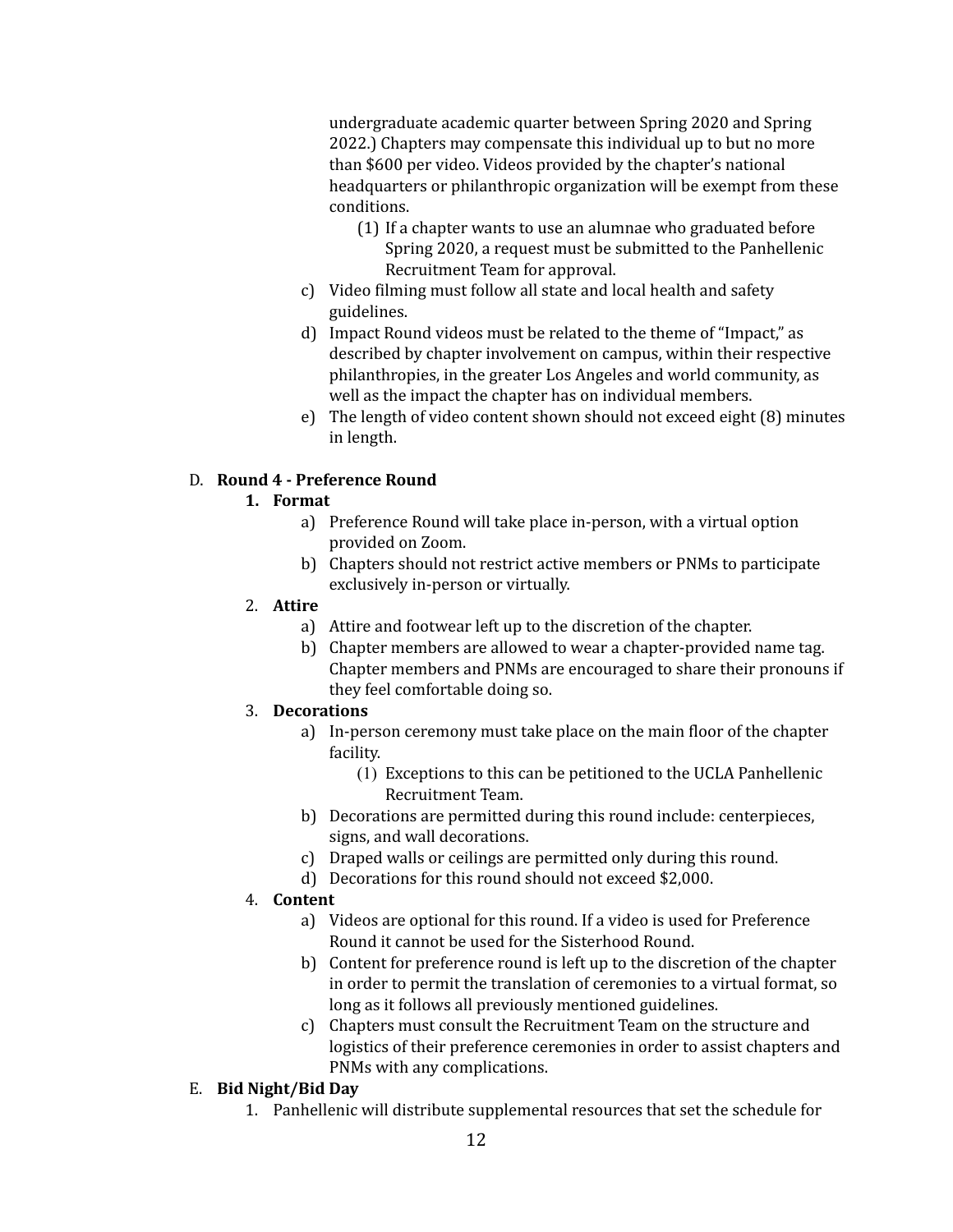undergraduate academic quarter between Spring 2020 and Spring 2022.) Chapters may compensate this individual up to but no more than \$600 per video. Videos provided by the chapter's national headquarters or philanthropic organization will be exempt from these conditions.

- (1) If a chapter wants to use an alumnae who graduated before Spring 2020, a request must be submitted to the Panhellenic Recruitment Team for approval.
- c) Video filming must follow all state and local health and safety guidelines.
- d) Impact Round videos must be related to the theme of "Impact," as described by chapter involvement on campus, within their respective philanthropies, in the greater Los Angeles and world community, as well as the impact the chapter has on individual members.
- e) The length of video content shown should not exceed eight (8) minutes in length.

## D. **Round 4 - Preference Round**

## **1. Format**

- a) Preference Round will take place in-person, with a virtual option provided on Zoom.
- b) Chapters should not restrict active members or PNMs to participate exclusively in-person or virtually.

#### 2. **Attire**

- a) Attire and footwear left up to the discretion of the chapter.
- b) Chapter members are allowed to wear a chapter-provided name tag. Chapter members and PNMs are encouraged to share their pronouns if they feel comfortable doing so.

## 3. **Decorations**

- a) In-person ceremony must take place on the main floor of the chapter facility.
	- (1) Exceptions to this can be petitioned to the UCLA Panhellenic Recruitment Team.
- b) Decorations are permitted during this round include: centerpieces, signs, and wall decorations.
- c) Draped walls or ceilings are permitted only during this round.
- d) Decorations for this round should not exceed \$2,000.

## 4. **Content**

- a) Videos are optional for this round. If a video is used for Preference Round it cannot be used for the Sisterhood Round.
- b) Content for preference round is left up to the discretion of the chapter in order to permit the translation of ceremonies to a virtual format, so long as it follows all previously mentioned guidelines.
- c) Chapters must consult the Recruitment Team on the structure and logistics of their preference ceremonies in order to assist chapters and PNMs with any complications.

## E. **Bid Night/Bid Day**

1. Panhellenic will distribute supplemental resources that set the schedule for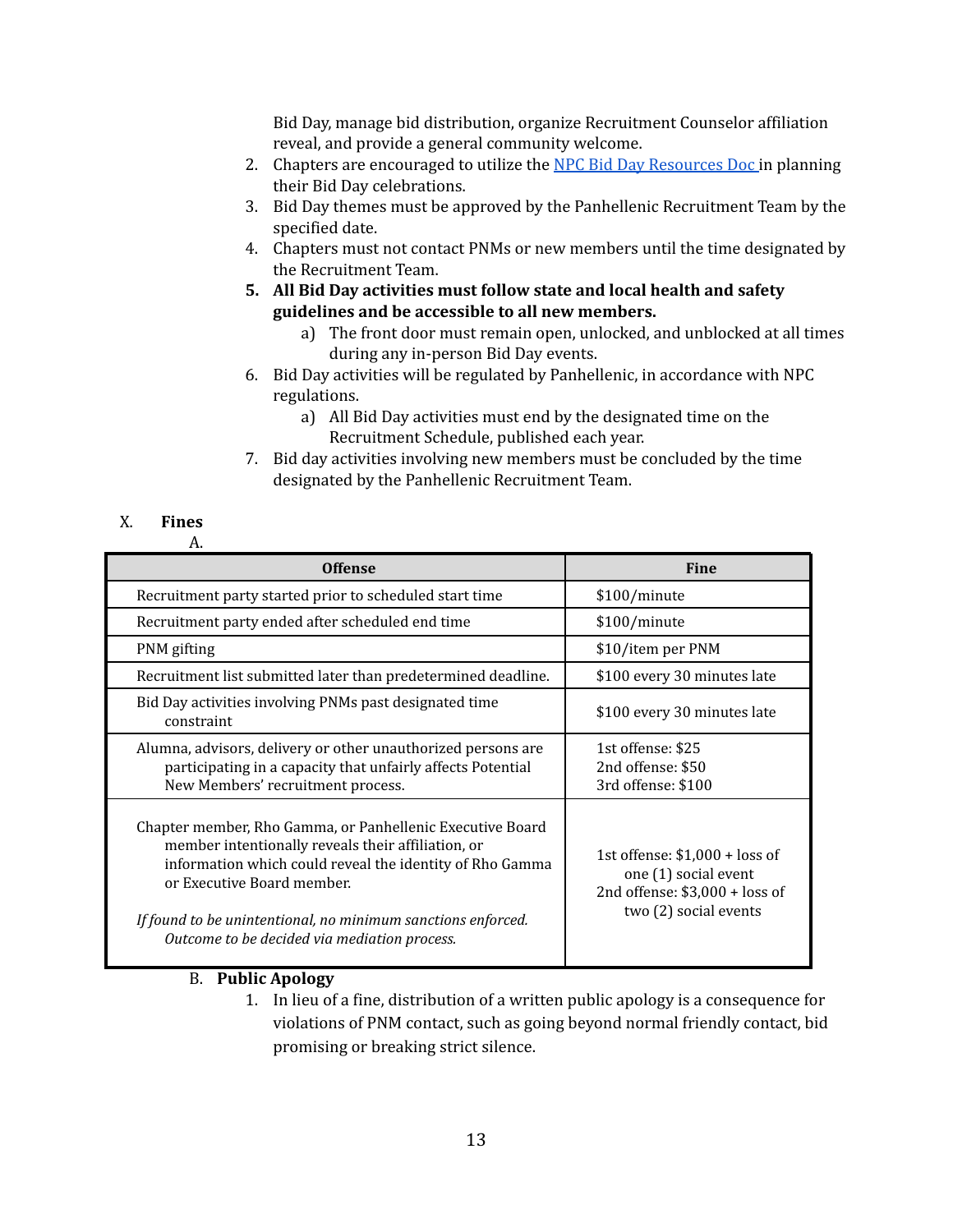Bid Day, manage bid distribution, organize Recruitment Counselor affiliation reveal, and provide a general community welcome.

- 2. Chapters are encouraged to utilize the NPC Bid Day [Resources](https://npcwomen.dynamic.omegafi.com/wp-content/uploads/sites/2037/2020/07/Bid-Day-Resource.pdf) Doc in planning their Bid Day celebrations.
- 3. Bid Day themes must be approved by the Panhellenic Recruitment Team by the specified date.
- 4. Chapters must not contact PNMs or new members until the time designated by the Recruitment Team.
- **5. All Bid Day activities must follow state and local health and safety guidelines and be accessible to all new members.**
	- a) The front door must remain open, unlocked, and unblocked at all times during any in-person Bid Day events.
- 6. Bid Day activities will be regulated by Panhellenic, in accordance with NPC regulations.
	- a) All Bid Day activities must end by the designated time on the Recruitment Schedule, published each year.
- 7. Bid day activities involving new members must be concluded by the time designated by the Panhellenic Recruitment Team.

## X. **Fines**

A.

| <b>Offense</b>                                                                                                                                                                                                                                                                                                            | <b>Fine</b>                                                                                                         |
|---------------------------------------------------------------------------------------------------------------------------------------------------------------------------------------------------------------------------------------------------------------------------------------------------------------------------|---------------------------------------------------------------------------------------------------------------------|
| Recruitment party started prior to scheduled start time                                                                                                                                                                                                                                                                   | \$100/minute                                                                                                        |
| Recruitment party ended after scheduled end time                                                                                                                                                                                                                                                                          | \$100/minute                                                                                                        |
| PNM gifting                                                                                                                                                                                                                                                                                                               | \$10/item per PNM                                                                                                   |
| Recruitment list submitted later than predetermined deadline.                                                                                                                                                                                                                                                             | \$100 every 30 minutes late                                                                                         |
| Bid Day activities involving PNMs past designated time<br>constraint                                                                                                                                                                                                                                                      | \$100 every 30 minutes late                                                                                         |
| Alumna, advisors, delivery or other unauthorized persons are<br>participating in a capacity that unfairly affects Potential<br>New Members' recruitment process.                                                                                                                                                          | 1st offense: \$25<br>2nd offense: \$50<br>3rd offense: \$100                                                        |
| Chapter member, Rho Gamma, or Panhellenic Executive Board<br>member intentionally reveals their affiliation, or<br>information which could reveal the identity of Rho Gamma<br>or Executive Board member.<br>If found to be unintentional, no minimum sanctions enforced.<br>Outcome to be decided via mediation process. | 1st offense: $$1,000 + loss$ of<br>one (1) social event<br>2nd offense: $$3,000 + loss$ of<br>two (2) social events |

#### B. **Public Apology**

1. In lieu of a fine, distribution of a written public apology is a consequence for violations of PNM contact, such as going beyond normal friendly contact, bid promising or breaking strict silence.